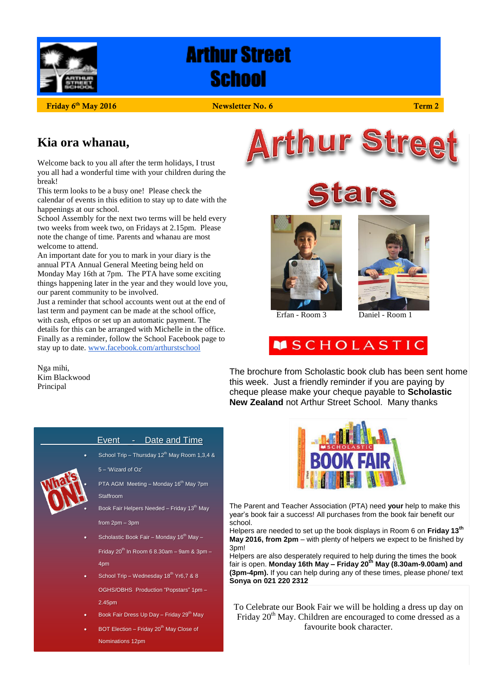

# **Arthur Street School**

**Friday 6**

#### **12016 12016 12026 12026 12026 12026 12026 12026 12026 12026 12026**

### **Kia ora whanau,**

Welcome back to you all after the term holidays, I trust you all had a wonderful time with your children during the break!

This term looks to be a busy one! Please check the calendar of events in this edition to stay up to date with the happenings at our school.

School Assembly for the next two terms will be held every two weeks from week two, on Fridays at 2.15pm. Please note the change of time. Parents and whanau are most welcome to attend.

An important date for you to mark in your diary is the annual PTA Annual General Meeting being held on Monday May 16th at 7pm. The PTA have some exciting things happening later in the year and they would love you, our parent community to be involved.

Just a reminder that school accounts went out at the end of last term and payment can be made at the school office, with cash, eftpos or set up an automatic payment. The details for this can be arranged with Michelle in the office. Finally as a reminder, follow the School Facebook page to stay up to date[. www.facebook.com/arthurstschool](http://www.facebook.com/arthurstschool)

Nga mihi, Kim Blackwood Principal









Erfan - Room 3 Daniel - Room 1



The brochure from Scholastic book club has been sent home this week. Just a friendly reminder if you are paying by cheque please make your cheque payable to **Scholastic New Zealand** not Arthur Street School. Many thanks



#### Event \_- Date and Time

School Trip – Thursday  $12^{th}$  May Room 1,3,4 & 5 – 'Wizard of Oz'

PTA AGM Meeting - Monday 16<sup>th</sup> May 7pm Staffroom

Book Fair Helpers Needed - Friday 13<sup>th</sup> May from 2pm – 3pm

- Scholastic Book Fair Monday 16<sup>th</sup> May –
- Friday  $20^{th}$  In Room 6 8.30am 9am & 3pm 4pm
- School Trip Wednesday 18<sup>th</sup> Yr6,7 & 8
- OGHS/OBHS Production "Popstars" 1pm 2.45pm
- Book Fair Dress Up Day Friday 29<sup>th</sup> May
- BOT Election Friday 20<sup>th</sup> May Close of Nominations 12pm



The Parent and Teacher Association (PTA) need **your** help to make this year's book fair a success! All purchases from the book fair benefit our school.

Helpers are needed to set up the book displays in Room 6 on **Friday 13th May 2016, from 2pm** – with plenty of helpers we expect to be finished by 3pm!

Helpers are also desperately required to help during the times the book fair is open. **Monday 16th May – Friday 20th May (8.30am-9.00am) and (3pm-4pm).** If you can help during any of these times, please phone/ text **Sonya on 021 220 2312**

To Celebrate our Book Fair we will be holding a dress up day on Friday  $20<sup>th</sup>$  May. Children are encouraged to come dressed as a favourite book character.